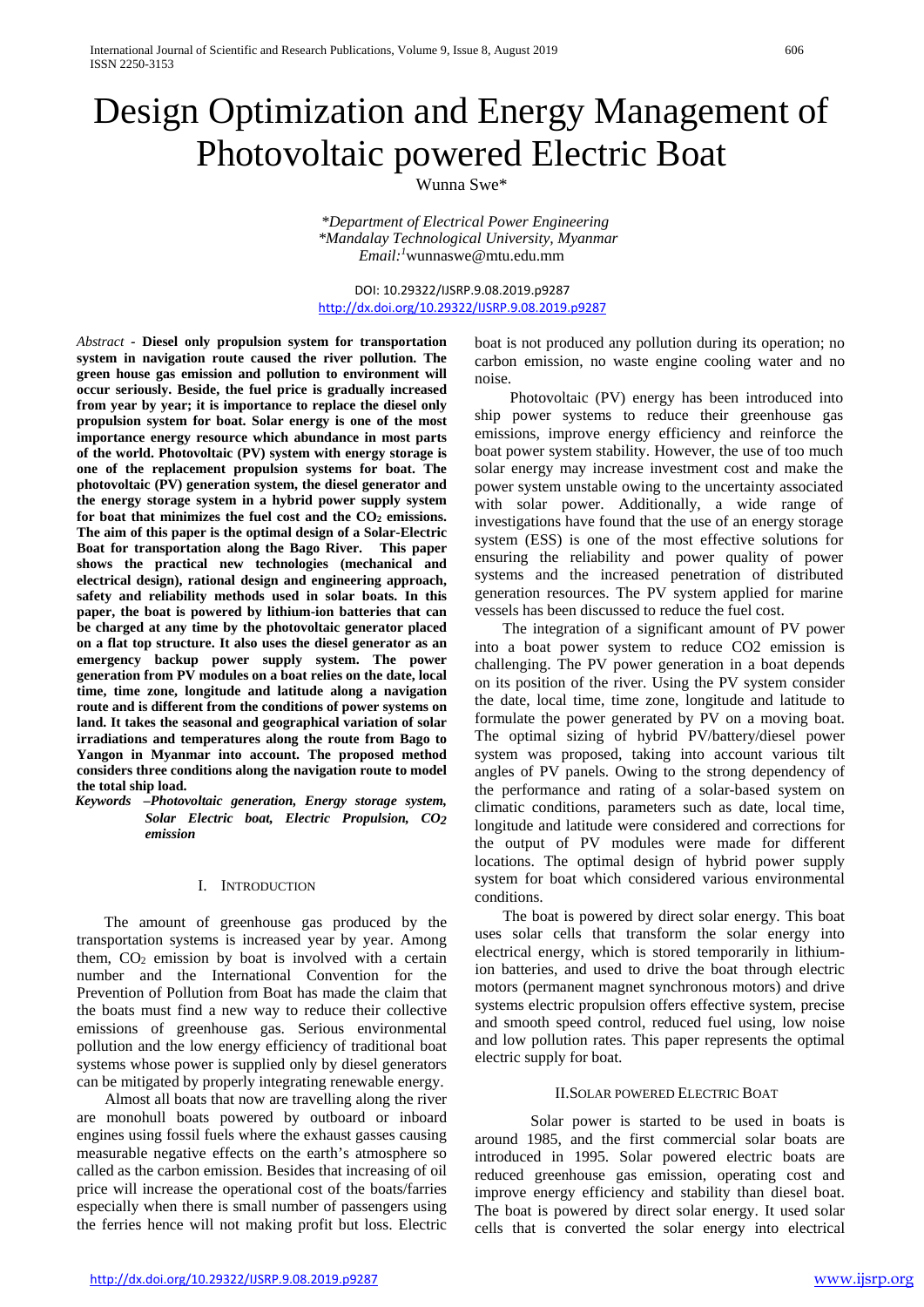# Design Optimization and Energy Management of Photovoltaic powered Electric Boat

Wunna Swe\*

*\*Department of Electrical Power Engineering \*Mandalay Technological University, Myanmar Email:1* wunnaswe@mtu.edu.mm

DOI: 10.29322/IJSRP.9.08.2019.p9287 <http://dx.doi.org/10.29322/IJSRP.9.08.2019.p9287>

*Abstract -* **Diesel only propulsion system for transportation system in navigation route caused the river pollution. The green house gas emission and pollution to environment will occur seriously. Beside, the fuel price is gradually increased from year by year; it is importance to replace the diesel only propulsion system for boat. Solar energy is one of the most importance energy resource which abundance in most parts of the world. Photovoltaic (PV) system with energy storage is one of the replacement propulsion systems for boat. The photovoltaic (PV) generation system, the diesel generator and the energy storage system in a hybrid power supply system**  for boat that minimizes the fuel cost and the CO<sub>2</sub> emissions. **The aim of this paper is the optimal design of a Solar-Electric Boat for transportation along the Bago River. This paper shows the practical new technologies (mechanical and electrical design), rational design and engineering approach, safety and reliability methods used in solar boats. In this paper, the boat is powered by lithium-ion batteries that can be charged at any time by the photovoltaic generator placed on a flat top structure. It also uses the diesel generator as an emergency backup power supply system. The power generation from PV modules on a boat relies on the date, local time, time zone, longitude and latitude along a navigation route and is different from the conditions of power systems on land. It takes the seasonal and geographical variation of solar irradiations and temperatures along the route from Bago to Yangon in Myanmar into account. The proposed method considers three conditions along the navigation route to model the total ship load.**

*Keywords –Photovoltaic generation, Energy storage system, Solar Electric boat, Electric Propulsion, CO2 emission*

## I. INTRODUCTION

The amount of greenhouse gas produced by the transportation systems is increased year by year. Among them,  $CO<sub>2</sub>$  emission by boat is involved with a certain number and the International Convention for the Prevention of Pollution from Boat has made the claim that the boats must find a new way to reduce their collective emissions of greenhouse gas. Serious environmental pollution and the low energy efficiency of traditional boat systems whose power is supplied only by diesel generators can be mitigated by properly integrating renewable energy.

Almost all boats that now are travelling along the river are monohull boats powered by outboard or inboard engines using fossil fuels where the exhaust gasses causing measurable negative effects on the earth's atmosphere so called as the carbon emission. Besides that increasing of oil price will increase the operational cost of the boats/farries especially when there is small number of passengers using the ferries hence will not making profit but loss. Electric

boat is not produced any pollution during its operation; no carbon emission, no waste engine cooling water and no noise.

Photovoltaic (PV) energy has been introduced into ship power systems to reduce their greenhouse gas emissions, improve energy efficiency and reinforce the boat power system stability. However, the use of too much solar energy may increase investment cost and make the power system unstable owing to the uncertainty associated with solar power. Additionally, a wide range of investigations have found that the use of an energy storage system (ESS) is one of the most effective solutions for ensuring the reliability and power quality of power systems and the increased penetration of distributed generation resources. The PV system applied for marine vessels has been discussed to reduce the fuel cost.

The integration of a significant amount of PV power into a boat power system to reduce CO2 emission is challenging. The PV power generation in a boat depends on its position of the river. Using the PV system consider the date, local time, time zone, longitude and latitude to formulate the power generated by PV on a moving boat. The optimal sizing of hybrid PV/battery/diesel power system was proposed, taking into account various tilt angles of PV panels. Owing to the strong dependency of the performance and rating of a solar-based system on climatic conditions, parameters such as date, local time, longitude and latitude were considered and corrections for the output of PV modules were made for different locations. The optimal design of hybrid power supply system for boat which considered various environmental conditions.

The boat is powered by direct solar energy. This boat uses solar cells that transform the solar energy into electrical energy, which is stored temporarily in lithiumion batteries, and used to drive the boat through electric motors (permanent magnet synchronous motors) and drive systems electric propulsion offers effective system, precise and smooth speed control, reduced fuel using, low noise and low pollution rates. This paper represents the optimal electric supply for boat.

#### II.SOLAR POWERED ELECTRIC BOAT

Solar power is started to be used in boats is around 1985, and the first commercial solar boats are introduced in 1995. Solar powered electric boats are reduced greenhouse gas emission, operating cost and improve energy efficiency and stability than diesel boat. The boat is powered by direct solar energy. It used solar cells that is converted the solar energy into electrical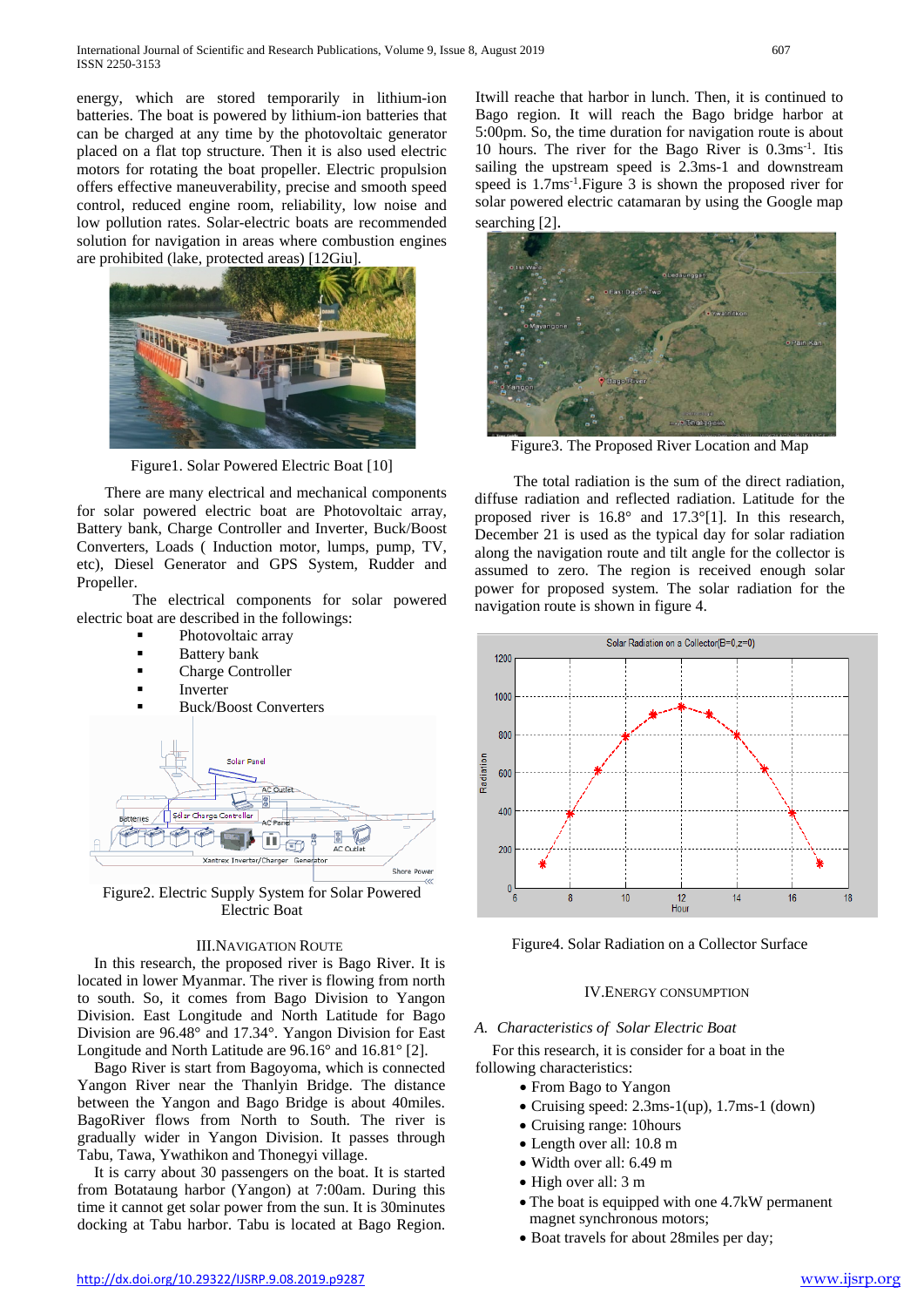energy, which are stored temporarily in lithium-ion batteries. The boat is powered by lithium-ion batteries that can be charged at any time by the photovoltaic generator placed on a flat top structure. Then it is also used electric motors for rotating the boat propeller. Electric propulsion offers effective maneuverability, precise and smooth speed control, reduced engine room, reliability, low noise and low pollution rates. Solar-electric boats are recommended solution for navigation in areas where combustion engines are prohibited (lake, protected areas) [12Giu].



Figure1. Solar Powered Electric Boat [10]

There are many electrical and mechanical components for solar powered electric boat are Photovoltaic array, Battery bank, Charge Controller and Inverter, Buck/Boost Converters, Loads ( Induction motor, lumps, pump, TV, etc), Diesel Generator and GPS System, Rudder and Propeller.

The electrical components for solar powered electric boat are described in the followings:

- Photovoltaic array
- Battery bank
- Charge Controller
- Inverter
- Buck/Boost Converters



Figure2. Electric Supply System for Solar Powered Electric Boat

## III.NAVIGATION ROUTE

In this research, the proposed river is Bago River. It is located in lower Myanmar. The river is flowing from north to south. So, it comes from Bago Division to Yangon Division. East Longitude and North Latitude for Bago Division are 96.48° and 17.34°. Yangon Division for East Longitude and North Latitude are 96.16° and 16.81° [2].

Bago River is start from Bagoyoma, which is connected Yangon River near the Thanlyin Bridge. The distance between the Yangon and Bago Bridge is about 40miles. BagoRiver flows from North to South. The river is gradually wider in Yangon Division. It passes through Tabu, Tawa, Ywathikon and Thonegyi village.

It is carry about 30 passengers on the boat. It is started from Botataung harbor (Yangon) at 7:00am. During this time it cannot get solar power from the sun. It is 30minutes docking at Tabu harbor. Tabu is located at Bago Region. Itwill reache that harbor in lunch. Then, it is continued to Bago region. It will reach the Bago bridge harbor at 5:00pm. So, the time duration for navigation route is about 10 hours. The river for the Bago River is 0.3ms-1 . Itis sailing the upstream speed is 2.3ms-1 and downstream speed is 1.7ms-1 .Figure 3 is shown the proposed river for solar powered electric catamaran by using the Google map searching [2].



Figure3. The Proposed River Location and Map

 The total radiation is the sum of the direct radiation, diffuse radiation and reflected radiation. Latitude for the proposed river is 16.8° and 17.3°[1]. In this research, December 21 is used as the typical day for solar radiation along the navigation route and tilt angle for the collector is assumed to zero. The region is received enough solar power for proposed system. The solar radiation for the navigation route is shown in figure 4.



Figure4. Solar Radiation on a Collector Surface

## IV.ENERGY CONSUMPTION

## *A. Characteristics of Solar Electric Boat*

For this research, it is consider for a boat in the following characteristics:

- From Bago to Yangon
- Cruising speed: 2.3ms-1(up), 1.7ms-1 (down)
- Cruising range: 10hours
- Length over all: 10.8 m
- Width over all: 6.49 m
- High over all: 3 m
- The boat is equipped with one 4.7kW permanent magnet synchronous motors;
- Boat travels for about 28miles per day;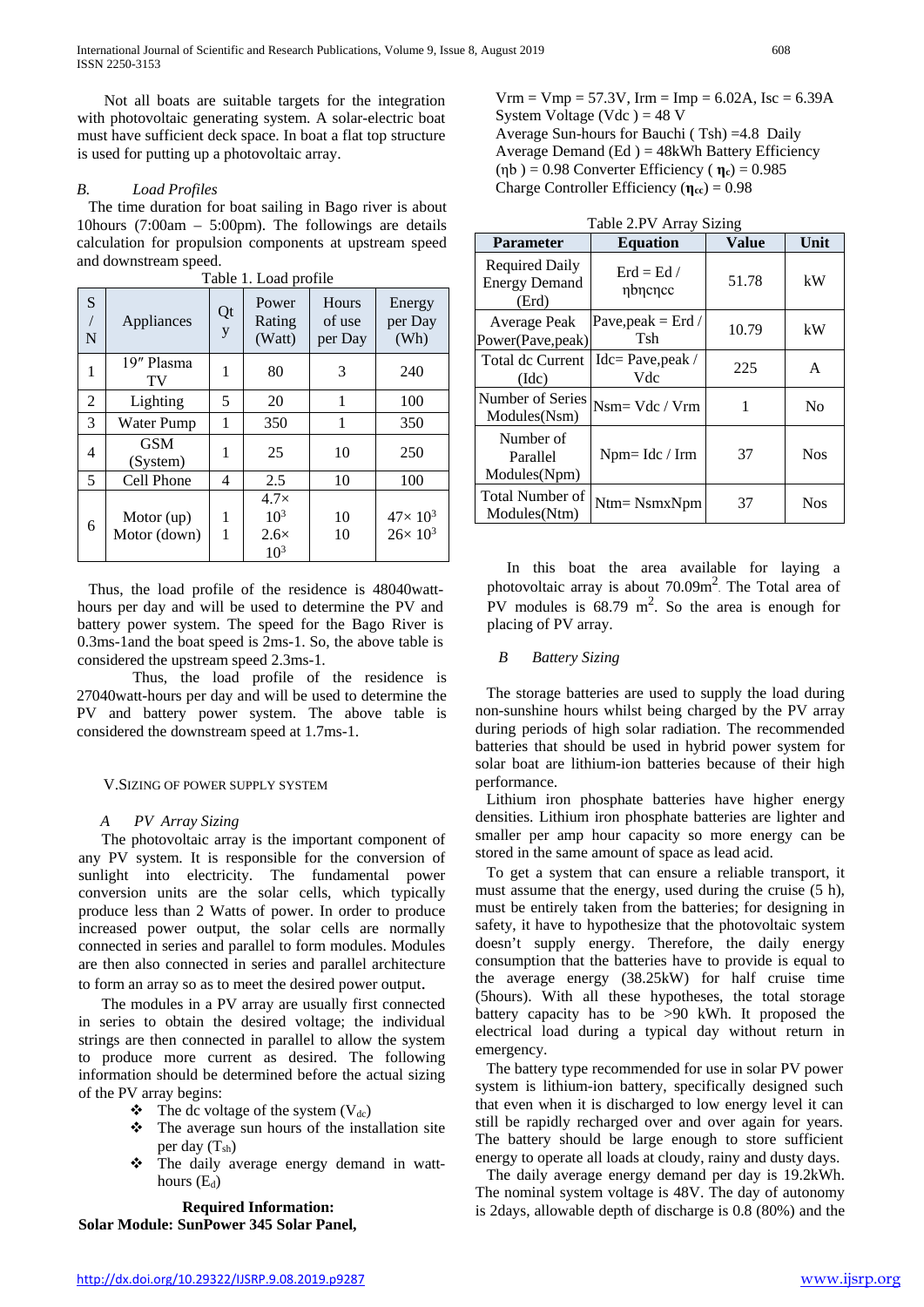Not all boats are suitable targets for the integration with photovoltaic generating system. A solar-electric boat must have sufficient deck space. In boat a flat top structure is used for putting up a photovoltaic array.

## *B. Load Profiles*

The time duration for boat sailing in Bago river is about 10hours (7:00am – 5:00pm). The followings are details calculation for propulsion components at upstream speed and downstream speed.

| Table 1. Load profile    |                              |         |                                                                  |                            |                                          |
|--------------------------|------------------------------|---------|------------------------------------------------------------------|----------------------------|------------------------------------------|
| S<br>$\overline{1}$<br>N | Appliances                   | Qt<br>y | Power<br>Rating<br>(Watt)                                        | Hours<br>of use<br>per Day | Energy<br>per Day<br>(Wh)                |
| 1                        | 19" Plasma<br>TV             | 1       | 80                                                               | 3                          | 240                                      |
| 2                        | Lighting                     | 5       | 20                                                               | 1                          | 100                                      |
| 3                        | <b>Water Pump</b>            | 1       | 350                                                              | 1                          | 350                                      |
| 4                        | <b>GSM</b><br>(System)       | 1       | 25                                                               | 10                         | 250                                      |
| 5                        | Cell Phone                   | 4       | 2.5                                                              | 10                         | 100                                      |
| 6                        | Motor $(up)$<br>Motor (down) | 1<br>1  | $4.7\times$<br>10 <sup>3</sup><br>$2.6\times$<br>10 <sup>3</sup> | 10<br>10                   | $47 \times 10^{3}$<br>$26 \times 10^{3}$ |

Table 1. Load profile

Thus, the load profile of the residence is 48040watthours per day and will be used to determine the PV and battery power system. The speed for the Bago River is 0.3ms-1and the boat speed is 2ms-1. So, the above table is considered the upstream speed 2.3ms-1.

Thus, the load profile of the residence is 27040watt-hours per day and will be used to determine the PV and battery power system. The above table is considered the downstream speed at 1.7ms-1.

## V.SIZING OF POWER SUPPLY SYSTEM

# *A PV Array Sizing*

The photovoltaic array is the important component of any PV system. It is responsible for the conversion of sunlight into electricity. The fundamental power conversion units are the solar cells, which typically produce less than 2 Watts of power. In order to produce increased power output, the solar cells are normally connected in series and parallel to form modules. Modules are then also connected in series and parallel architecture to form an array so as to meet the desired power output.

The modules in a PV array are usually first connected in series to obtain the desired voltage; the individual strings are then connected in parallel to allow the system to produce more current as desired. The following information should be determined before the actual sizing of the PV array begins:

- $\bullet$  The dc voltage of the system (V<sub>dc</sub>)
- The average sun hours of the installation site per day  $(T_{sh})$
- The daily average energy demand in watthours  $(E_d)$

**Required Information: Solar Module: SunPower 345 Solar Panel,**  $Vrm = Vmp = 57.3V$ ,  $Irm = Imp = 6.02A$ ,  $Isc = 6.39A$ System Voltage (Vdc) =  $48$  V Average Sun-hours for Bauchi ( Tsh) =4.8 Daily Average Demand (Ed )  $=$  48kWh Battery Efficiency (ηb ) = 0.98 Converter Efficiency ( **ηc**) = 0.985 Charge Controller Efficiency (**ηcc**) = 0.98

| Table 2.PV Array Sizing                                |                                       |              |                |
|--------------------------------------------------------|---------------------------------------|--------------|----------------|
| <b>Parameter</b>                                       | <b>Equation</b>                       | <b>Value</b> | Unit           |
| <b>Required Daily</b><br><b>Energy Demand</b><br>(Erd) | $\text{Erd} = \text{Ed} /$<br>nbncncc | 51.78        | kW             |
| Average Peak<br>Power(Pave, peak)                      | Pave, peak $=$ Erd /<br>Tsh           | 10.79        | kW             |
| Total dc Current<br>(dc)                               | $Idc = Pave, peak /$<br>Vdc           | 225          | A              |
| Number of Series<br>Modules(Nsm)                       | $Nsm = Vdc / Vrm$                     | 1            | N <sub>0</sub> |
| Number of<br>Parallel<br>Modules(Npm)                  | $Npm=$ Idc / Irm                      | 37           | <b>Nos</b>     |
| <b>Total Number of</b><br>Modules(Ntm)                 | $Ntm = NsmxNpm$                       | 37           | <b>Nos</b>     |

In this boat the area available for laying a photovoltaic array is about 70.09m<sup>2</sup>. The Total area of PV modules is  $68.79 \text{ m}^2$ . So the area is enough for placing of PV array.

## *B Battery Sizing*

The storage batteries are used to supply the load during non-sunshine hours whilst being charged by the PV array during periods of high solar radiation. The recommended batteries that should be used in hybrid power system for solar boat are lithium-ion batteries because of their high performance.

Lithium iron phosphate batteries have higher energy densities. Lithium iron phosphate batteries are lighter and smaller per amp hour capacity so more energy can be stored in the same amount of space as lead acid.

To get a system that can ensure a reliable transport, it must assume that the energy, used during the cruise (5 h), must be entirely taken from the batteries; for designing in safety, it have to hypothesize that the photovoltaic system doesn't supply energy. Therefore, the daily energy consumption that the batteries have to provide is equal to the average energy (38.25kW) for half cruise time (5hours). With all these hypotheses, the total storage battery capacity has to be >90 kWh. It proposed the electrical load during a typical day without return in emergency.

The battery type recommended for use in solar PV power system is lithium-ion battery, specifically designed such that even when it is discharged to low energy level it can still be rapidly recharged over and over again for years. The battery should be large enough to store sufficient energy to operate all loads at cloudy, rainy and dusty days.

The daily average energy demand per day is 19.2kWh. The nominal system voltage is 48V. The day of autonomy is 2days, allowable depth of discharge is 0.8 (80%) and the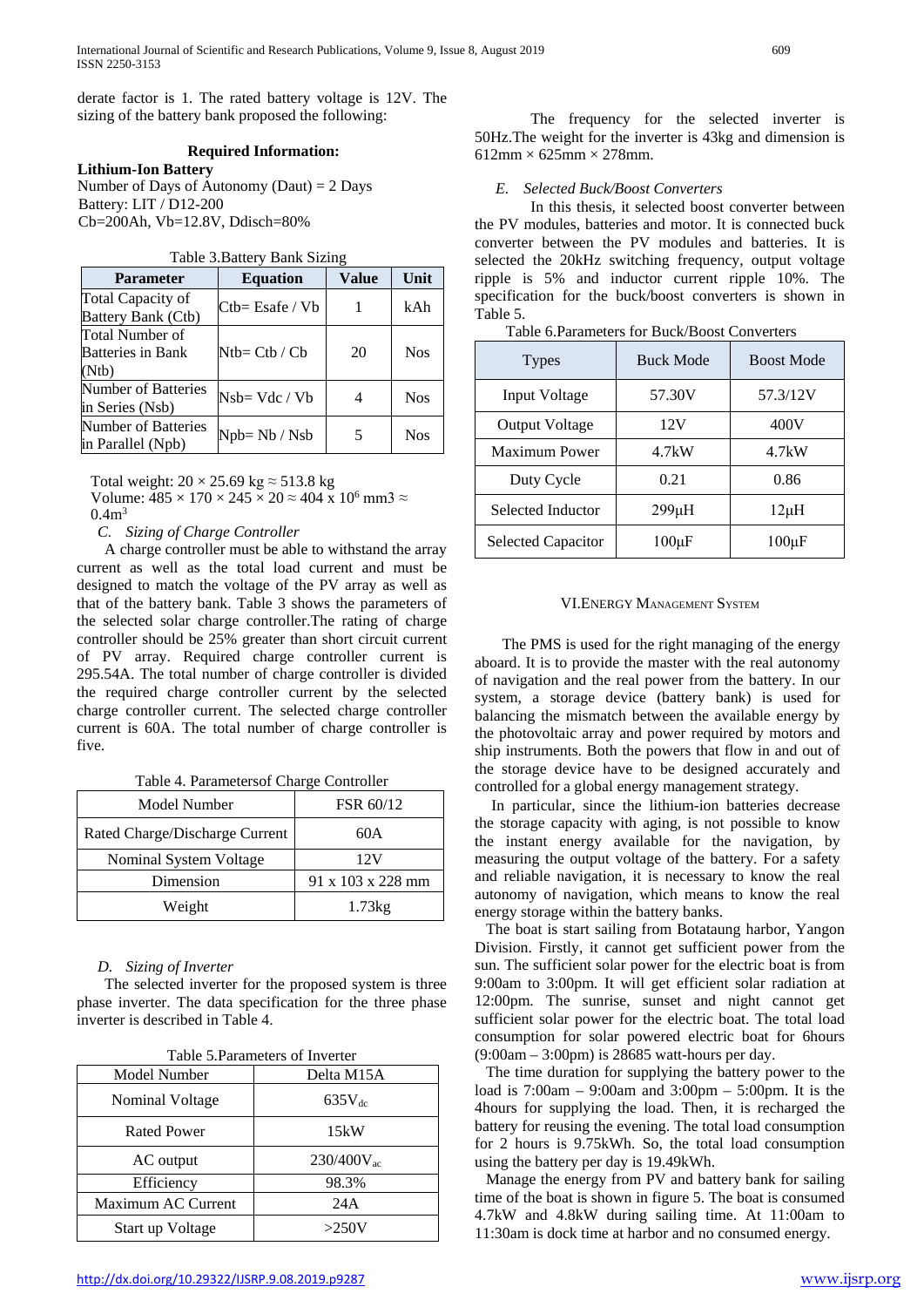derate factor is 1. The rated battery voltage is 12V. The sizing of the battery bank proposed the following:

#### **Required Information:**

**Lithium-Ion Battery**

Number of Days of Autonomy (Daut)  $= 2$  Days Battery: LIT / D12-200 Cb=200Ah, Vb=12.8V, Ddisch=80%

| Table 3. Battery Bank Sizing |  |  |
|------------------------------|--|--|
|------------------------------|--|--|

| <b>Parameter</b>                                     | <b>Equation</b>    | <b>Value</b> | Unit       |
|------------------------------------------------------|--------------------|--------------|------------|
| Total Capacity of<br>Battery Bank (Ctb)              | $Ctb = Esafe / Vb$ |              | kAh        |
| Total Number of<br><b>Batteries in Bank</b><br>(Ntb) | $Ntb = Ctb / Cb$   | 20           | <b>Nos</b> |
| Number of Batteries<br>in Series (Nsb)               | $Nsh=Vdc/Vb$       | 4            | <b>Nos</b> |
| Number of Batteries<br>in Parallel (Npb)             | Npb= Nb / Nsb      | 5            | <b>Nos</b> |

Total weight:  $20 \times 25.69$  kg  $\approx 513.8$  kg

Volume:  $485 \times 170 \times 245 \times 20 \approx 404 \times 10^6$  mm3  $\approx$  $0.4<sup>3</sup>$ 

*C. Sizing of Charge Controller* 

A charge controller must be able to withstand the array current as well as the total load current and must be designed to match the voltage of the PV array as well as that of the battery bank. Table 3 shows the parameters of the selected solar charge controller.The rating of charge controller should be 25% greater than short circuit current of PV array. Required charge controller current is 295.54A. The total number of charge controller is divided the required charge controller current by the selected charge controller current. The selected charge controller current is 60A. The total number of charge controller is five.

Table 4. Parametersof Charge Controller

| Model Number                   | FSR 60/12                     |
|--------------------------------|-------------------------------|
| Rated Charge/Discharge Current | 60A                           |
| Nominal System Voltage         | 12V                           |
| Dimension                      | $91 \times 103 \times 228$ mm |
| Weight                         | 1.73kg                        |

#### *D. Sizing of Inverter*

The selected inverter for the proposed system is three phase inverter. The data specification for the three phase inverter is described in Table 4.

| Table 5. Parameters of Inverter |                 |  |
|---------------------------------|-----------------|--|
| Model Number                    | Delta M15A      |  |
| Nominal Voltage                 | $635V_{dc}$     |  |
| <b>Rated Power</b>              | 15kW            |  |
| AC output                       | $230/400V_{ac}$ |  |
| Efficiency                      | 98.3%           |  |
| Maximum AC Current              | 24A             |  |
| Start up Voltage                | >250V           |  |

The frequency for the selected inverter is 50Hz.The weight for the inverter is 43kg and dimension is  $612$ mm  $\times$  625mm  $\times$  278mm.

#### *E. Selected Buck/Boost Converters*

In this thesis, it selected boost converter between the PV modules, batteries and motor. It is connected buck converter between the PV modules and batteries. It is selected the 20kHz switching frequency, output voltage ripple is 5% and inductor current ripple 10%. The specification for the buck/boost converters is shown in Table 5.

| <b>Types</b>              | <b>Buck Mode</b> | <b>Boost Mode</b> |  |
|---------------------------|------------------|-------------------|--|
| Input Voltage             | 57.30V           | 57.3/12V          |  |
| <b>Output Voltage</b>     | 12V              | 400V              |  |
| Maximum Power             | 4.7kW            | 4.7kW             |  |
| Duty Cycle                | 0.21             | 0.86              |  |
| Selected Inductor         | 299µH            | $12\mu H$         |  |
| <b>Selected Capacitor</b> | $100\mu F$       | $100 \mu F$       |  |

Table 6.Parameters for Buck/Boost Converters

#### VI.ENERGY MANAGEMENT SYSTEM

The PMS is used for the right managing of the energy aboard. It is to provide the master with the real autonomy of navigation and the real power from the battery. In our system, a storage device (battery bank) is used for balancing the mismatch between the available energy by the photovoltaic array and power required by motors and ship instruments. Both the powers that flow in and out of the storage device have to be designed accurately and controlled for a global energy management strategy.

In particular, since the lithium-ion batteries decrease the storage capacity with aging, is not possible to know the instant energy available for the navigation, by measuring the output voltage of the battery. For a safety and reliable navigation, it is necessary to know the real autonomy of navigation, which means to know the real energy storage within the battery banks.

The boat is start sailing from Botataung harbor, Yangon Division. Firstly, it cannot get sufficient power from the sun. The sufficient solar power for the electric boat is from 9:00am to 3:00pm. It will get efficient solar radiation at 12:00pm. The sunrise, sunset and night cannot get sufficient solar power for the electric boat. The total load consumption for solar powered electric boat for 6hours (9:00am – 3:00pm) is 28685 watt-hours per day.

The time duration for supplying the battery power to the load is 7:00am – 9:00am and 3:00pm – 5:00pm. It is the 4hours for supplying the load. Then, it is recharged the battery for reusing the evening. The total load consumption for 2 hours is 9.75kWh. So, the total load consumption using the battery per day is 19.49kWh.

Manage the energy from PV and battery bank for sailing time of the boat is shown in figure 5. The boat is consumed 4.7kW and 4.8kW during sailing time. At 11:00am to 11:30am is dock time at harbor and no consumed energy.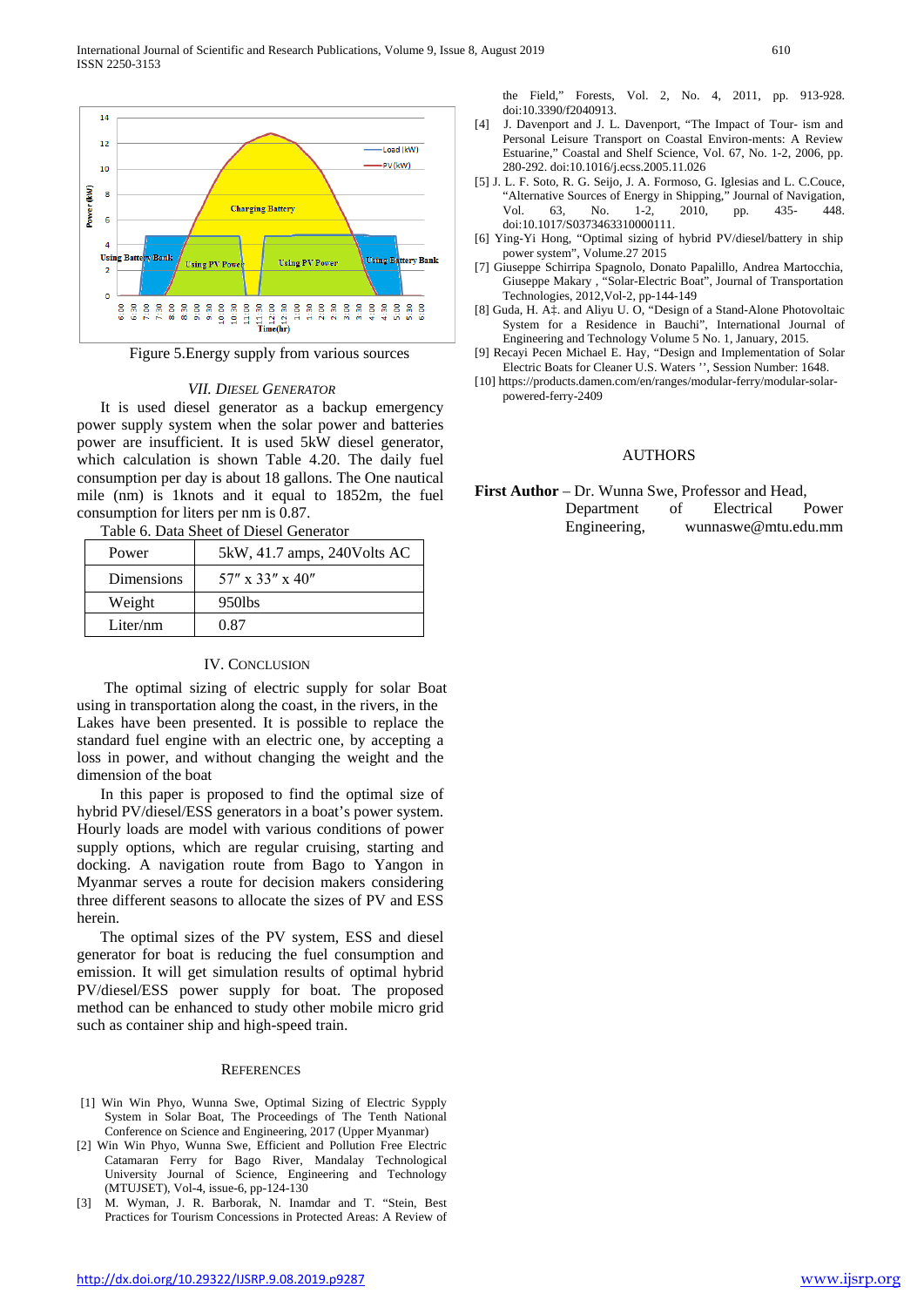

Figure 5.Energy supply from various sources

#### *VII. DIESEL GENERATOR*

It is used diesel generator as a backup emergency power supply system when the solar power and batteries power are insufficient. It is used 5kW diesel generator, which calculation is shown Table 4.20. The daily fuel consumption per day is about 18 gallons. The One nautical mile (nm) is 1knots and it equal to 1852m, the fuel consumption for liters per nm is 0.87.

Table 6. Data Sheet of Diesel Generator

| Power      | 5kW, 41.7 amps, 240Volts AC |
|------------|-----------------------------|
| Dimensions | $57''$ x 33" x 40"          |
| Weight     | 950lbs                      |
| Liter/nm   | 0.87                        |

#### IV. CONCLUSION

The optimal sizing of electric supply for solar Boat using in transportation along the coast, in the rivers, in the Lakes have been presented. It is possible to replace the standard fuel engine with an electric one, by accepting a loss in power, and without changing the weight and the dimension of the boat

In this paper is proposed to find the optimal size of hybrid PV/diesel/ESS generators in a boat's power system. Hourly loads are model with various conditions of power supply options, which are regular cruising, starting and docking. A navigation route from Bago to Yangon in Myanmar serves a route for decision makers considering three different seasons to allocate the sizes of PV and ESS herein.

The optimal sizes of the PV system, ESS and diesel generator for boat is reducing the fuel consumption and emission. It will get simulation results of optimal hybrid PV/diesel/ESS power supply for boat. The proposed method can be enhanced to study other mobile micro grid such as container ship and high-speed train.

#### **REFERENCES**

- [1] Win Win Phyo, Wunna Swe, Optimal Sizing of Electric Sypply System in Solar Boat, The Proceedings of The Tenth National Conference on Science and Engineering, 2017 (Upper Myanmar)
- [2] Win Win Phyo, Wunna Swe, Efficient and Pollution Free Electric Catamaran Ferry for Bago River, Mandalay Technological University Journal of Science, Engineering and Technology (MTUJSET), Vol-4, issue-6, pp-124-130
- [3] M. Wyman, J. R. Barborak, N. Inamdar and T. "Stein, Best Practices for Tourism Concessions in Protected Areas: A Review of

the Field," Forests, Vol. 2, No. 4, 2011, pp. 913-928. doi:10.3390/f2040913.

- [4] J. Davenport and J. L. Davenport, "The Impact of Tour- ism and Personal Leisure Transport on Coastal Environ-ments: A Review Estuarine," Coastal and Shelf Science, Vol. 67, No. 1-2, 2006, pp. 280-292. doi:10.1016/j.ecss.2005.11.026
- [5] J. L. F. Soto, R. G. Seijo, J. A. Formoso, G. Iglesias and L. C.Couce, "Alternative Sources of Energy in Shipping," Journal of Navigation,<br>Vol 63. No. 1-2. 2010. pp. 435-448. Vol. 63, No. 1-2, 2010, pp. 435- 448. doi:10.1017/S0373463310000111.
- [6] Ying-Yi Hong, "Optimal sizing of hybrid PV/diesel/battery in ship power system", Volume.27 2015
- [7] Giuseppe Schirripa Spagnolo, Donato Papalillo, Andrea Martocchia, Giuseppe Makary , "Solar-Electric Boat", Journal of Transportation Technologies, 2012,Vol-2, pp-144-149
- [8] Guda, H. A‡. and Aliyu U. O, "Design of a Stand-Alone Photovoltaic System for a Residence in Bauchi", International Journal of Engineering and Technology Volume 5 No. 1, January, 2015.
- [9] Recayi Pecen Michael E. Hay, "Design and Implementation of Solar Electric Boats for Cleaner U.S. Waters '', Session Number: 1648.
- [10] https://products.damen.com/en/ranges/modular-ferry/modular-solarpowered-ferry-2409

## **AUTHORS**

**First Author** – Dr. Wunna Swe, Professor and Head, Department of Electrical Power Engineering, wunnaswe@mtu.edu.mm